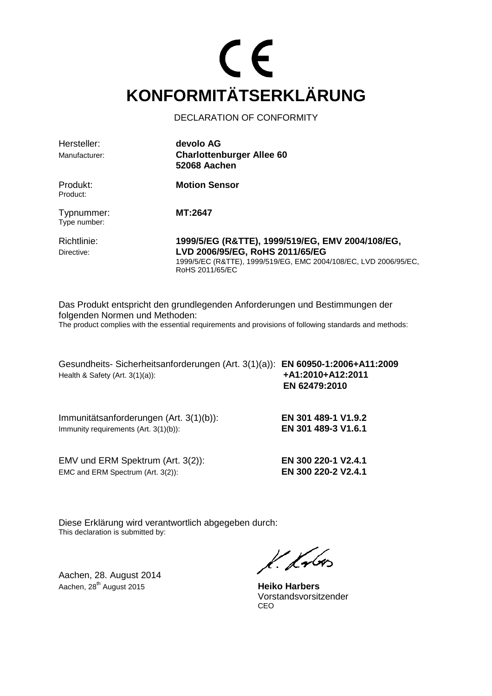### $\epsilon$ **KONFORMITÄTSERKLÄRUNG**

DECLARATION OF CONFORMITY

| Hersteller:<br>Manufacturer: | devolo AG<br><b>Charlottenburger Allee 60</b><br>52068 Aachen                                                                                                              |
|------------------------------|----------------------------------------------------------------------------------------------------------------------------------------------------------------------------|
| Produkt:<br>Product:         | <b>Motion Sensor</b>                                                                                                                                                       |
| Typnummer:<br>Type number:   | MT:2647                                                                                                                                                                    |
| Richtlinie:<br>Directive:    | 1999/5/EG (R&TTE), 1999/519/EG, EMV 2004/108/EG,<br>LVD 2006/95/EG, RoHS 2011/65/EG<br>1999/5/EC (R&TTE), 1999/519/EG, EMC 2004/108/EC, LVD 2006/95/EC,<br>RoHS 2011/65/EC |

Das Produkt entspricht den grundlegenden Anforderungen und Bestimmungen der folgenden Normen und Methoden: The product complies with the essential requirements and provisions of following standards and methods:

Gesundheits- Sicherheitsanforderungen (Art. 3(1)(a)): **EN 60950-1:2006+A11:2009**  Health & Safety (Art. 3(1)(a)): **+A1:2010+A12:2011**

Immunitätsanforderungen (Art. 3(1)(b)): **EN 301 489-1 V1.9.2**  Immunity requirements (Art. 3(1)(b)): **EN 301 489-3 V1.6.1** 

**EN 62479:2010** 

EMV und ERM Spektrum (Art. 3(2)): **EN 300 220-1 V2.4.1** EMC and ERM Spectrum (Art. 3(2)): **EN 300 220-2 V2.4.1** 

Diese Erklärung wird verantwortlich abgegeben durch: This declaration is submitted by:

Aachen, 28. August 2014 Aachen, 28th August 2015 **Heiko Harbers**

K. Lubes

 Vorstandsvorsitzender <u>CEO de la contrada de la contrada de la contrada de la contrada de la contrada de la contrada de la con</u>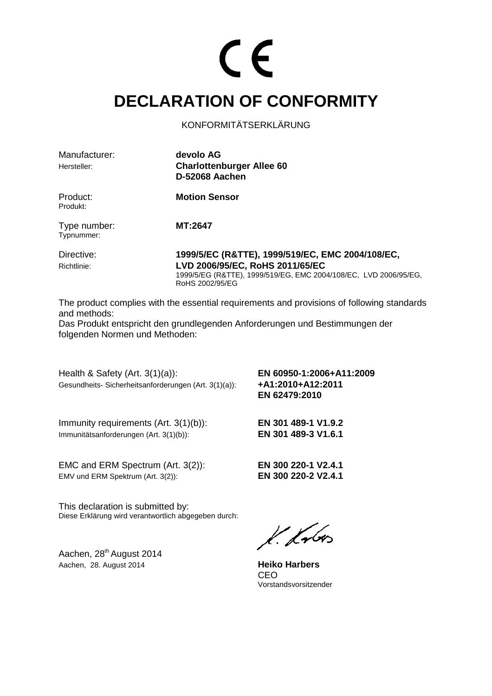#### **DECLARATION OF CONFORMITY**

KONFORMITÄTSERKLÄRUNG

| Manufacturer:<br>Hersteller: | devolo AG<br><b>Charlottenburger Allee 60</b><br>D-52068 Aachen                                                                                         |
|------------------------------|---------------------------------------------------------------------------------------------------------------------------------------------------------|
| Product:<br>Produkt:         | <b>Motion Sensor</b>                                                                                                                                    |
| Type number:<br>Typnummer:   | MT:2647                                                                                                                                                 |
| Directive:<br>Richtlinie:    | 1999/5/EC (R&TTE), 1999/519/EC, EMC 2004/108/EC,<br>LVD 2006/95/EC, RoHS 2011/65/EC<br>1999/5/EG (R&TTE), 1999/519/EG, EMC 2004/108/EC, LVD 2006/95/EG, |

The product complies with the essential requirements and provisions of following standards and methods:

Das Produkt entspricht den grundlegenden Anforderungen und Bestimmungen der folgenden Normen und Methoden:

RoHS 2002/95/EG

Health & Safety (Art. 3(1)(a)): **EN 60950-1:2006+A11:2009**  Gesundheits- Sicherheitsanforderungen (Art. 3(1)(a)): **+A1:2010+A12:2011** 

 **EN 62479:2010** 

Immunity requirements (Art. 3(1)(b)): **EN 301 489-1 V1.9.2**  Immunitätsanforderungen (Art. 3(1)(b)): **EN 301 489-3 V1.6.1**

EMC and ERM Spectrum (Art. 3(2)): **EN 300 220-1 V2.4.1**  EMV und ERM Spektrum (Art. 3(2)): **EN 300 220-2 V2.4.1** 

This declaration is submitted by: Diese Erklärung wird verantwortlich abgegeben durch:

Aachen, 28<sup>th</sup> August 2014 Aachen, 28. August 2014 **Heiko Harbers**

 $k.$  from

**CEO CEO** Vorstandsvorsitzender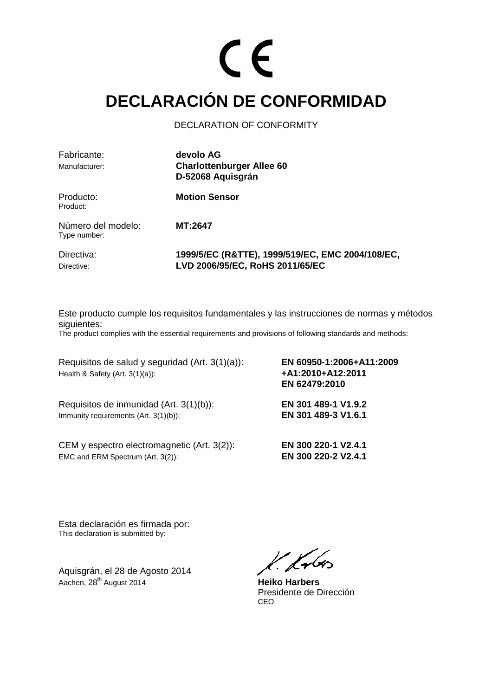#### **DECLARACIÓN DE CONFORMIDAD**

DECLARATION OF CONFORMITY

| Fabricante:<br>Manufacturer:       | devolo AG<br><b>Charlottenburger Allee 60</b><br>D-52068 Aquisgrán                  |
|------------------------------------|-------------------------------------------------------------------------------------|
| Producto:<br>Product:              | <b>Motion Sensor</b>                                                                |
| Número del modelo:<br>Type number: | MT:2647                                                                             |
| Directiva:<br>Directive:           | 1999/5/EC (R&TTE), 1999/519/EC, EMC 2004/108/EC,<br>LVD 2006/95/EC, RoHS 2011/65/EC |

Este producto cumple los requisitos fundamentales y las instrucciones de normas y métodos siguientes:

The product complies with the essential requirements and provisions of following standards and methods:

Requisitos de salud y seguridad (Art. 3(1)(a)): **EN 60950-1:2006+A11:2009**  Health & Safety (Art. 3(1)(a)): **+A1:2010+A12:2011** 

Requisitos de inmunidad (Art. 3(1)(b)): **EN 301 489-1 V1.9.2**  Immunity requirements (Art. 3(1)(b)): **EN 301 489-3 V1.6.1** 

CEM y espectro electromagnetic (Art. 3(2)): **EN 300 220-1 V2.4.1**  EMC and ERM Spectrum (Art. 3(2)): **EN 300 220-2 V2.4.1** 

**EN 62479:2010**

Esta declaración es firmada por: This declaration is submitted by:

Aquisgrán, el 28 de Agosto 2014 Aachen, 28th August 2014 **Heiko Harbers**

k. fr6

Presidente de Dirección<br>CEO <u>CEO de la contrada de la contrada de la contrada de la contrada de la contrada de la contrada de la con</u>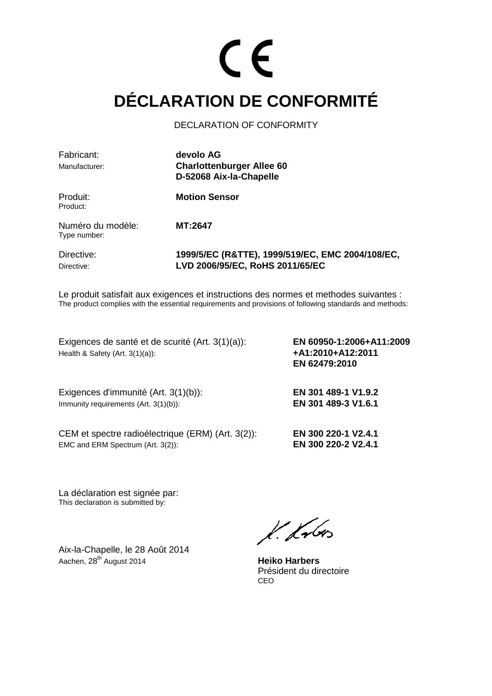### **DÉCLARATION DE CONFORMITÉ**

DECLARATION OF CONFORMITY

| Fabricant:<br>Manufacturer:       | devolo AG<br><b>Charlottenburger Allee 60</b><br>D-52068 Aix-la-Chapelle            |
|-----------------------------------|-------------------------------------------------------------------------------------|
| Produit:<br>Product:              | <b>Motion Sensor</b>                                                                |
| Numéro du modèle:<br>Type number: | MT:2647                                                                             |
| Directive:<br>Directive:          | 1999/5/EC (R&TTE), 1999/519/EC, EMC 2004/108/EC,<br>LVD 2006/95/EC, RoHS 2011/65/EC |

Le produit satisfait aux exigences et instructions des normes et methodes suivantes : The product complies with the essential requirements and provisions of following standards and methods:

Exigences de santé et de scurité (Art. 3(1)(a)): **EN 60950-1:2006+A11:2009**  Health & Safety (Art. 3(1)(a)): **+A1:2010+A12:2011** 

Exigences d'immunité (Art. 3(1)(b)): **EN 301 489-1 V1.9.2**  Immunity requirements (Art. 3(1)(b)): **EN 301 489-3 V1.6.1** 

CEM et spectre radioélectrique (ERM) (Art. 3(2)): **EN 300 220-1 V2.4.1** EMC and ERM Spectrum (Art. 3(2)): **EN 300 220-2 V2.4.1** 

 **EN 62479:2010** 

La déclaration est signée par: This declaration is submitted by:

Aix-la-Chapelle, le 28 Août 2014 Aachen, 28<sup>th</sup> August 2014 **Heiko Harbers** 

 $k.$  from

 Président du directoire <u>CEO de la contrada de la contrada de la contrada de la contrada de la contrada de la contrada de la con</u>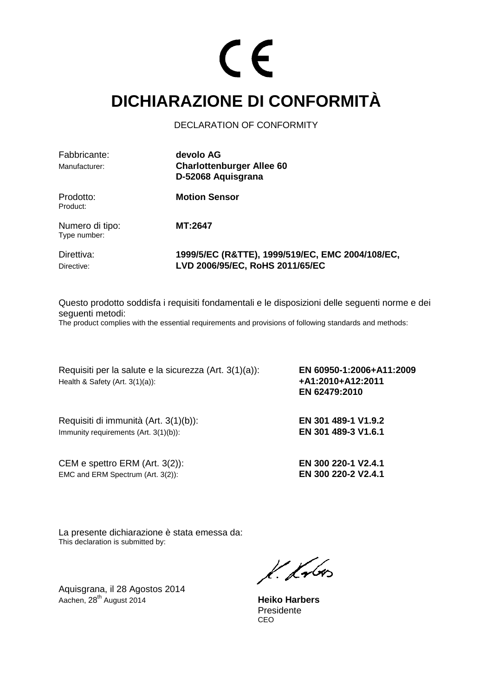#### **DICHIARAZIONE DI CONFORMITÀ**

DECLARATION OF CONFORMITY

| Fabbricante:<br>Manufacturer:   | devolo AG<br><b>Charlottenburger Allee 60</b><br>D-52068 Aquisgrana                 |
|---------------------------------|-------------------------------------------------------------------------------------|
| Prodotto:<br>Product:           | <b>Motion Sensor</b>                                                                |
| Numero di tipo:<br>Type number: | MT:2647                                                                             |
| Direttiva:<br>Directive:        | 1999/5/EC (R&TTE), 1999/519/EC, EMC 2004/108/EC,<br>LVD 2006/95/EC, RoHS 2011/65/EC |

Questo prodotto soddisfa i requisiti fondamentali e le disposizioni delle seguenti norme e dei seguenti metodi:

The product complies with the essential requirements and provisions of following standards and methods:

Requisiti per la salute e la sicurezza (Art. 3(1)(a)): **EN 60950-1:2006+A11:2009**  Health & Safety (Art. 3(1)(a)): **+A1:2010+A12:2011** 

Requisiti di immunità (Art. 3(1)(b)): **EN 301 489-1 V1.9.2**  Immunity requirements (Art. 3(1)(b)): **EN 301 489-3 V1.6.1** 

CEM e spettro ERM (Art. 3(2)): **EN 300 220-1 V2.4.1** EMC and ERM Spectrum (Art. 3(2)): **EN 300 220-2 V2.4.1** 

**EN 62479:2010** 

La presente dichiarazione è stata emessa da: This declaration is submitted by:

Aquisgrana, il 28 Agostos 2014 Aachen, 28th August 2014 **Heiko Harbers**

 $k.$  from

 Presidente <u>CEO de la contrada de la contrada de la contrada de la contrada de la contrada de la contrada de la con</u>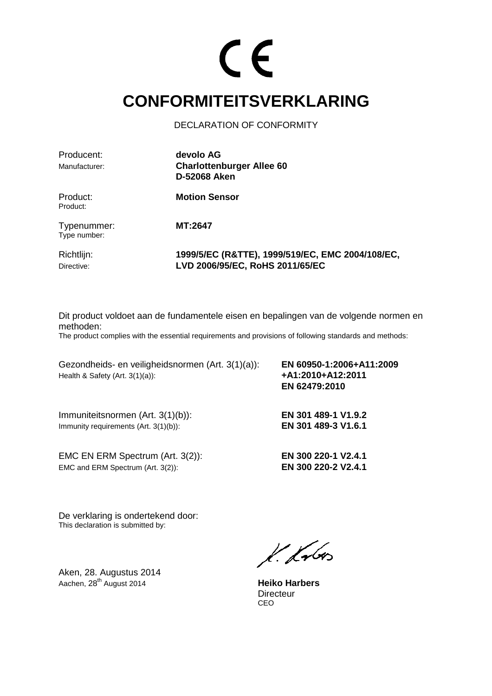#### **CONFORMITEITSVERKLARING**

DECLARATION OF CONFORMITY

| Producent:                  | devolo AG                                                                           |
|-----------------------------|-------------------------------------------------------------------------------------|
| Manufacturer:               | <b>Charlottenburger Allee 60</b>                                                    |
|                             | <b>D-52068 Aken</b>                                                                 |
| Product:<br>Product:        | <b>Motion Sensor</b>                                                                |
| Typenummer:<br>Type number: | <b>MT:2647</b>                                                                      |
| Richtlijn:<br>Directive:    | 1999/5/EC (R&TTE), 1999/519/EC, EMC 2004/108/EC,<br>LVD 2006/95/EC, RoHS 2011/65/EC |

Dit product voldoet aan de fundamentele eisen en bepalingen van de volgende normen en methoden:

The product complies with the essential requirements and provisions of following standards and methods:

Gezondheids- en veiligheidsnormen (Art. 3(1)(a)): **EN 60950-1:2006+A11:2009**  Health & Safety (Art. 3(1)(a)): **+A1:2010+A12:2011** 

Immuniteitsnormen (Art. 3(1)(b)): **EN 301 489-1 V1.9.2**  Immunity requirements (Art. 3(1)(b)): **EN 301 489-3 V1.6.1** 

EMC EN ERM Spectrum (Art. 3(2)): **EN 300 220-1 V2.4.1** EMC and ERM Spectrum (Art. 3(2)): **EN 300 220-2 V2.4.1** 

 **EN 62479:2010** 

De verklaring is ondertekend door: This declaration is submitted by:

Aken, 28. Augustus 2014 Aachen, 28<sup>th</sup> August 2014 **Heiko Harbers** 

 $k$ krbos

Directeur<br>CEO <u>CEO de la contrada de la contrada de la contrada de la contrada de la contrada de la contrada de la con</u>